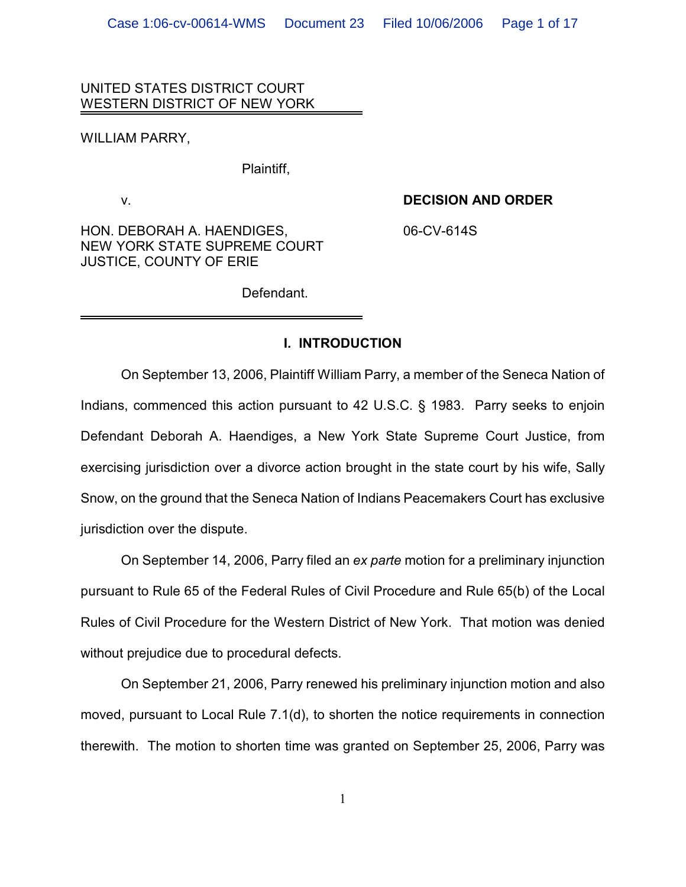### UNITED STATES DISTRICT COURT WESTERN DISTRICT OF NEW YORK

WILLIAM PARRY,

Plaintiff,

### v. **DECISION AND ORDER**

HON. DEBORAH A. HAENDIGES,  $06$ -CV-614S NEW YORK STATE SUPREME COURT JUSTICE, COUNTY OF ERIE

Defendant.

### **I. INTRODUCTION**

On September 13, 2006, Plaintiff William Parry, a member of the Seneca Nation of Indians, commenced this action pursuant to 42 U.S.C. § 1983. Parry seeks to enjoin Defendant Deborah A. Haendiges, a New York State Supreme Court Justice, from exercising jurisdiction over a divorce action brought in the state court by his wife, Sally Snow, on the ground that the Seneca Nation of Indians Peacemakers Court has exclusive jurisdiction over the dispute.

On September 14, 2006, Parry filed an *ex parte* motion for a preliminary injunction pursuant to Rule 65 of the Federal Rules of Civil Procedure and Rule 65(b) of the Local Rules of Civil Procedure for the Western District of New York. That motion was denied without prejudice due to procedural defects.

On September 21, 2006, Parry renewed his preliminary injunction motion and also moved, pursuant to Local Rule 7.1(d), to shorten the notice requirements in connection therewith. The motion to shorten time was granted on September 25, 2006, Parry was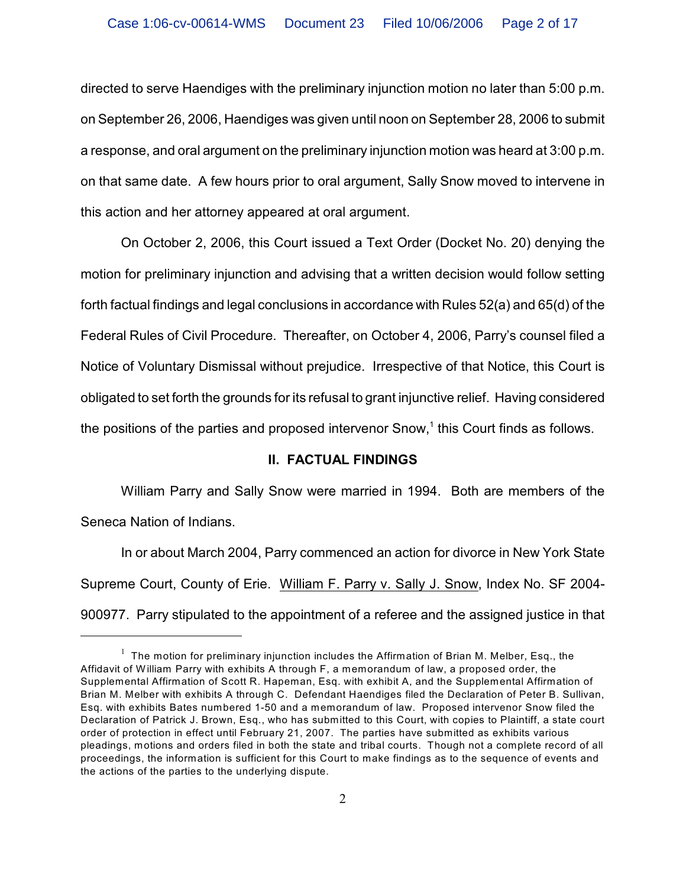directed to serve Haendiges with the preliminary injunction motion no later than 5:00 p.m. on September 26, 2006, Haendiges was given until noon on September 28, 2006 to submit a response, and oral argument on the preliminary injunction motion was heard at 3:00 p.m. on that same date. A few hours prior to oral argument, Sally Snow moved to intervene in this action and her attorney appeared at oral argument.

On October 2, 2006, this Court issued a Text Order (Docket No. 20) denying the motion for preliminary injunction and advising that a written decision would follow setting forth factual findings and legal conclusions in accordance with Rules 52(a) and 65(d) of the Federal Rules of Civil Procedure. Thereafter, on October 4, 2006, Parry's counsel filed a Notice of Voluntary Dismissal without prejudice. Irrespective of that Notice, this Court is obligated to set forth the grounds for its refusal to grant injunctive relief. Having considered the positions of the parties and proposed intervenor Snow, $1$  this Court finds as follows.

### **II. FACTUAL FINDINGS**

William Parry and Sally Snow were married in 1994. Both are members of the Seneca Nation of Indians.

In or about March 2004, Parry commenced an action for divorce in New York State Supreme Court, County of Erie. William F. Parry v. Sally J. Snow, Index No. SF 2004- 900977. Parry stipulated to the appointment of a referee and the assigned justice in that

 $1$  The motion for preliminary injunction includes the Affirmation of Brian M. Melber, Esq., the Affidavit of W illiam Parry with exhibits A through F, a memorandum of law, a proposed order, the Supplemental Affirmation of Scott R. Hapeman, Esq. with exhibit A, and the Supplemental Affirmation of Brian M. Melber with exhibits A through C. Defendant Haendiges filed the Declaration of Peter B. Sullivan, Esq. with exhibits Bates numbered 1-50 and a memorandum of law. Proposed intervenor Snow filed the Declaration of Patrick J. Brown, Esq., who has submitted to this Court, with copies to Plaintiff, a state court order of protection in effect until February 21, 2007. The parties have submitted as exhibits various pleadings, motions and orders filed in both the state and tribal courts. Though not a complete record of all proceedings, the information is sufficient for this Court to make findings as to the sequence of events and the actions of the parties to the underlying dispute.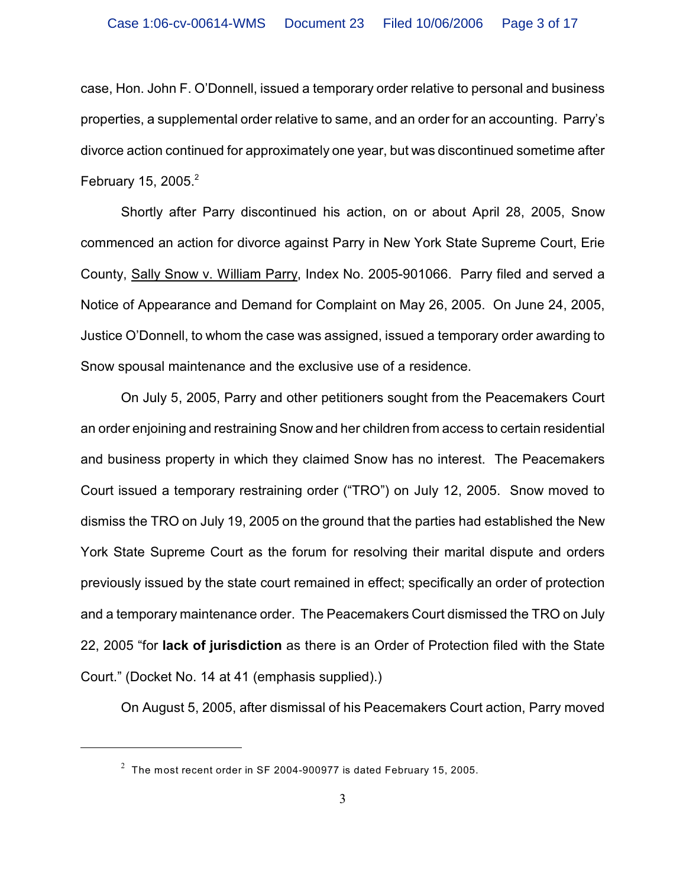case, Hon. John F. O'Donnell, issued a temporary order relative to personal and business properties, a supplemental order relative to same, and an order for an accounting. Parry's divorce action continued for approximately one year, but was discontinued sometime after February 15, 2005. $2$ 

Shortly after Parry discontinued his action, on or about April 28, 2005, Snow commenced an action for divorce against Parry in New York State Supreme Court, Erie County, Sally Snow v. William Parry, Index No. 2005-901066. Parry filed and served a Notice of Appearance and Demand for Complaint on May 26, 2005. On June 24, 2005, Justice O'Donnell, to whom the case was assigned, issued a temporary order awarding to Snow spousal maintenance and the exclusive use of a residence.

On July 5, 2005, Parry and other petitioners sought from the Peacemakers Court an order enjoining and restraining Snow and her children from access to certain residential and business property in which they claimed Snow has no interest. The Peacemakers Court issued a temporary restraining order ("TRO") on July 12, 2005. Snow moved to dismiss the TRO on July 19, 2005 on the ground that the parties had established the New York State Supreme Court as the forum for resolving their marital dispute and orders previously issued by the state court remained in effect; specifically an order of protection and a temporary maintenance order. The Peacemakers Court dismissed the TRO on July 22, 2005 "for **lack of jurisdiction** as there is an Order of Protection filed with the State Court." (Docket No. 14 at 41 (emphasis supplied).)

On August 5, 2005, after dismissal of his Peacemakers Court action, Parry moved

 $2\degree$  The most recent order in SF 2004-900977 is dated February 15, 2005.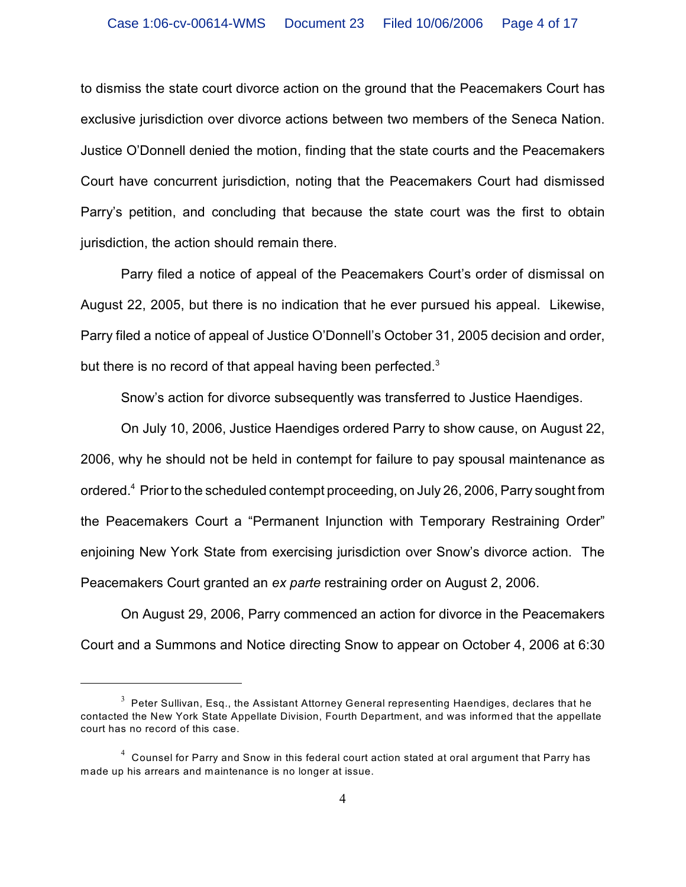to dismiss the state court divorce action on the ground that the Peacemakers Court has exclusive jurisdiction over divorce actions between two members of the Seneca Nation. Justice O'Donnell denied the motion, finding that the state courts and the Peacemakers Court have concurrent jurisdiction, noting that the Peacemakers Court had dismissed Parry's petition, and concluding that because the state court was the first to obtain jurisdiction, the action should remain there.

Parry filed a notice of appeal of the Peacemakers Court's order of dismissal on August 22, 2005, but there is no indication that he ever pursued his appeal. Likewise, Parry filed a notice of appeal of Justice O'Donnell's October 31, 2005 decision and order, but there is no record of that appeal having been perfected.<sup>3</sup>

Snow's action for divorce subsequently was transferred to Justice Haendiges.

On July 10, 2006, Justice Haendiges ordered Parry to show cause, on August 22, 2006, why he should not be held in contempt for failure to pay spousal maintenance as ordered. $^4$  Prior to the scheduled contempt proceeding, on July 26, 2006, Parry sought from the Peacemakers Court a "Permanent Injunction with Temporary Restraining Order" enjoining New York State from exercising jurisdiction over Snow's divorce action. The Peacemakers Court granted an *ex parte* restraining order on August 2, 2006.

On August 29, 2006, Parry commenced an action for divorce in the Peacemakers Court and a Summons and Notice directing Snow to appear on October 4, 2006 at 6:30

 $3$  Peter Sullivan, Esq., the Assistant Attorney General representing Haendiges, declares that he contacted the New York State Appellate Division, Fourth Department, and was informed that the appellate court has no record of this case.

 $<sup>4</sup>$  Counsel for Parry and Snow in this federal court action stated at oral argument that Parry has</sup> made up his arrears and maintenance is no longer at issue.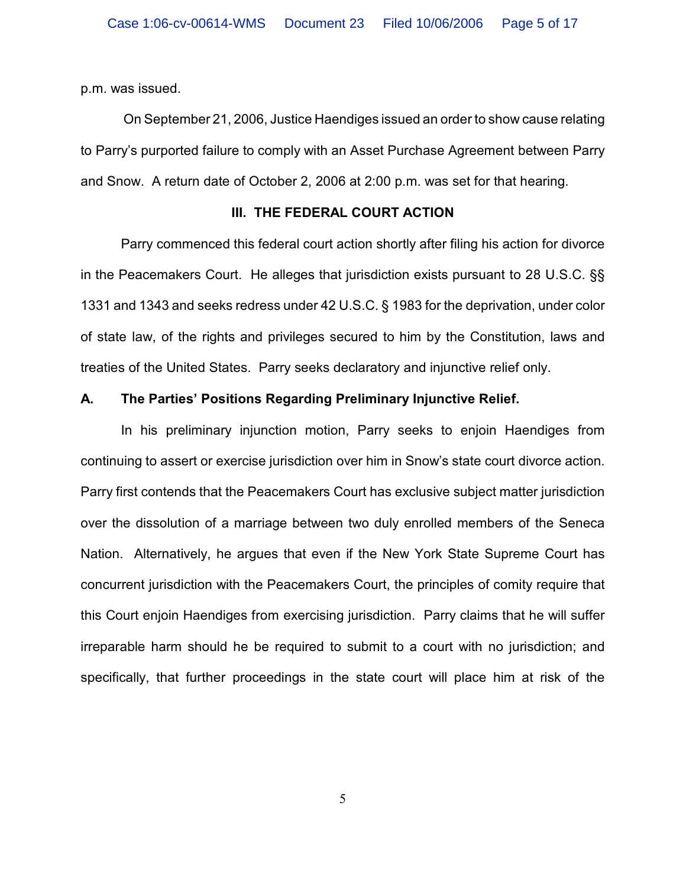p.m. was issued.

 On September 21, 2006, Justice Haendiges issued an order to show cause relating to Parry's purported failure to comply with an Asset Purchase Agreement between Parry and Snow. A return date of October 2, 2006 at 2:00 p.m. was set for that hearing.

### **III. THE FEDERAL COURT ACTION**

Parry commenced this federal court action shortly after filing his action for divorce in the Peacemakers Court. He alleges that jurisdiction exists pursuant to 28 U.S.C. §§ 1331 and 1343 and seeks redress under 42 U.S.C. § 1983 for the deprivation, under color of state law, of the rights and privileges secured to him by the Constitution, laws and treaties of the United States. Parry seeks declaratory and injunctive relief only.

### **A. The Parties' Positions Regarding Preliminary Injunctive Relief.**

In his preliminary injunction motion, Parry seeks to enjoin Haendiges from continuing to assert or exercise jurisdiction over him in Snow's state court divorce action. Parry first contends that the Peacemakers Court has exclusive subject matter jurisdiction over the dissolution of a marriage between two duly enrolled members of the Seneca Nation. Alternatively, he argues that even if the New York State Supreme Court has concurrent jurisdiction with the Peacemakers Court, the principles of comity require that this Court enjoin Haendiges from exercising jurisdiction. Parry claims that he will suffer irreparable harm should he be required to submit to a court with no jurisdiction; and specifically, that further proceedings in the state court will place him at risk of the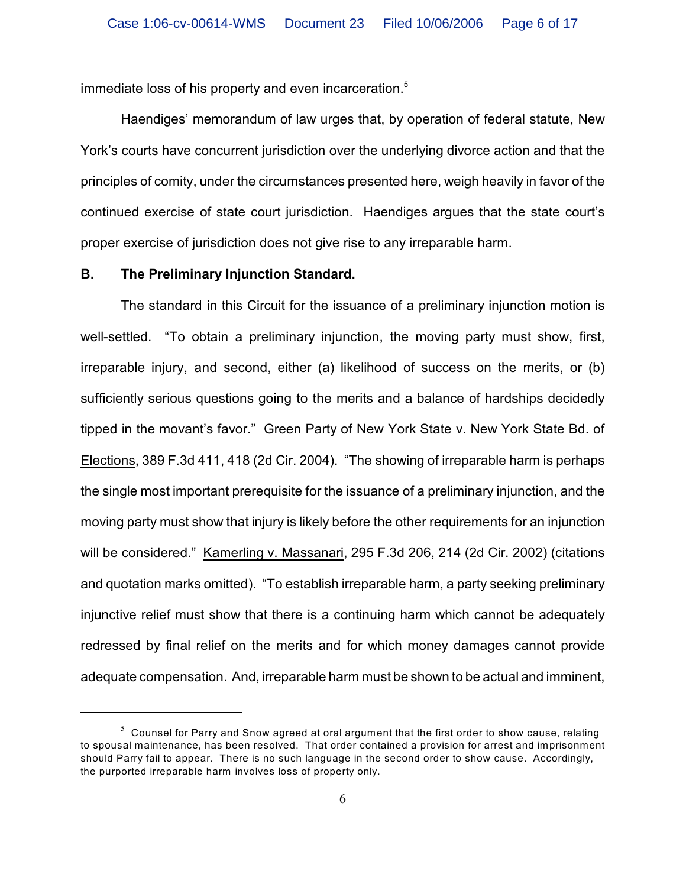immediate loss of his property and even incarceration.<sup>5</sup>

Haendiges' memorandum of law urges that, by operation of federal statute, New York's courts have concurrent jurisdiction over the underlying divorce action and that the principles of comity, under the circumstances presented here, weigh heavily in favor of the continued exercise of state court jurisdiction. Haendiges argues that the state court's proper exercise of jurisdiction does not give rise to any irreparable harm.

#### **B. The Preliminary Injunction Standard.**

The standard in this Circuit for the issuance of a preliminary injunction motion is well-settled. "To obtain a preliminary injunction, the moving party must show, first, irreparable injury, and second, either (a) likelihood of success on the merits, or (b) sufficiently serious questions going to the merits and a balance of hardships decidedly tipped in the movant's favor." Green Party of New York State v. New York State Bd. of Elections, 389 F.3d 411, 418 (2d Cir. 2004). "The showing of irreparable harm is perhaps the single most important prerequisite for the issuance of a preliminary injunction, and the moving party must show that injury is likely before the other requirements for an injunction will be considered." Kamerling v. Massanari, 295 F.3d 206, 214 (2d Cir. 2002) (citations and quotation marks omitted). "To establish irreparable harm, a party seeking preliminary injunctive relief must show that there is a continuing harm which cannot be adequately redressed by final relief on the merits and for which money damages cannot provide adequate compensation. And, irreparable harm must be shown to be actual and imminent,

 $^5\,$  Counsel for Parry and Snow agreed at oral argument that the first order to show cause, relating to spousal maintenance, has been resolved. That order contained a provision for arrest and imprisonment should Parry fail to appear. There is no such language in the second order to show cause. Accordingly, the purported irreparable harm involves loss of property only.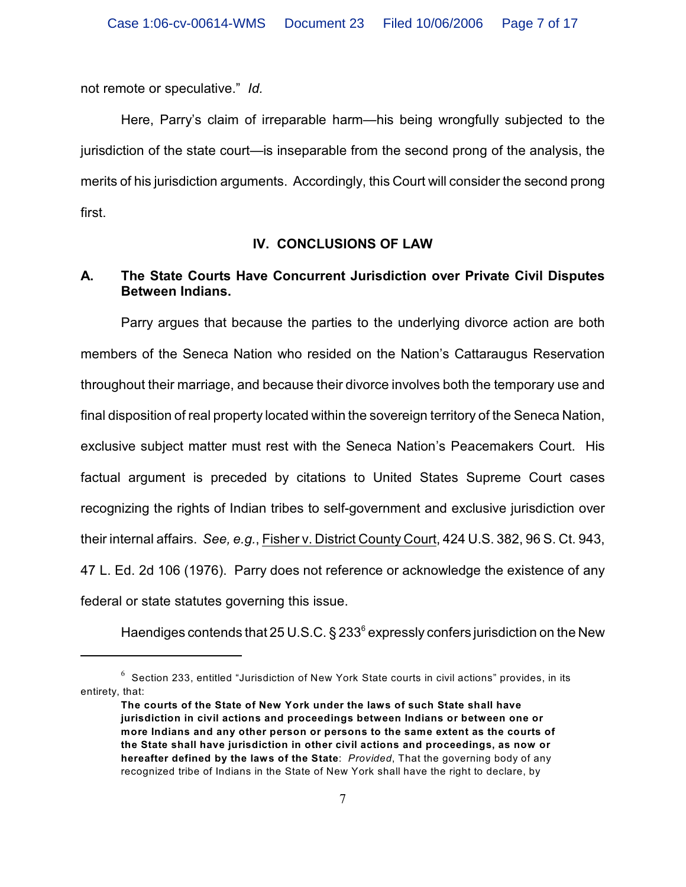not remote or speculative." *Id.*

Here, Parry's claim of irreparable harm—his being wrongfully subjected to the jurisdiction of the state court—is inseparable from the second prong of the analysis, the merits of his jurisdiction arguments.Accordingly, this Court will consider the second prong first.

### **IV. CONCLUSIONS OF LAW**

## **A. The State Courts Have Concurrent Jurisdiction over Private Civil Disputes Between Indians.**

Parry argues that because the parties to the underlying divorce action are both members of the Seneca Nation who resided on the Nation's Cattaraugus Reservation throughout their marriage, and because their divorce involves both the temporary use and final disposition of real property located within the sovereign territory of the Seneca Nation, exclusive subject matter must rest with the Seneca Nation's Peacemakers Court. His factual argument is preceded by citations to United States Supreme Court cases recognizing the rights of Indian tribes to self-government and exclusive jurisdiction over their internal affairs. *See, e.g.*, Fisher v. District County Court, 424 U.S. 382, 96 S. Ct. 943, 47 L. Ed. 2d 106 (1976). Parry does not reference or acknowledge the existence of any federal or state statutes governing this issue.

Haendiges contends that 25 U.S.C.  $\S 233^6$  expressly confers jurisdiction on the New

 $6$  Section 233, entitled "Jurisdiction of New York State courts in civil actions" provides, in its entirety, that:

**The courts of the State of New York under the laws of such State shall have jurisdiction in civil actions and proceedings between Indians or between one or more Indians and any other person or persons to the same extent as the courts of the State shall have jurisdiction in other civil actions and proceedings, as now or hereafter defined by the laws of the State**: *Provided*, That the governing body of any recognized tribe of Indians in the State of New York shall have the right to declare, by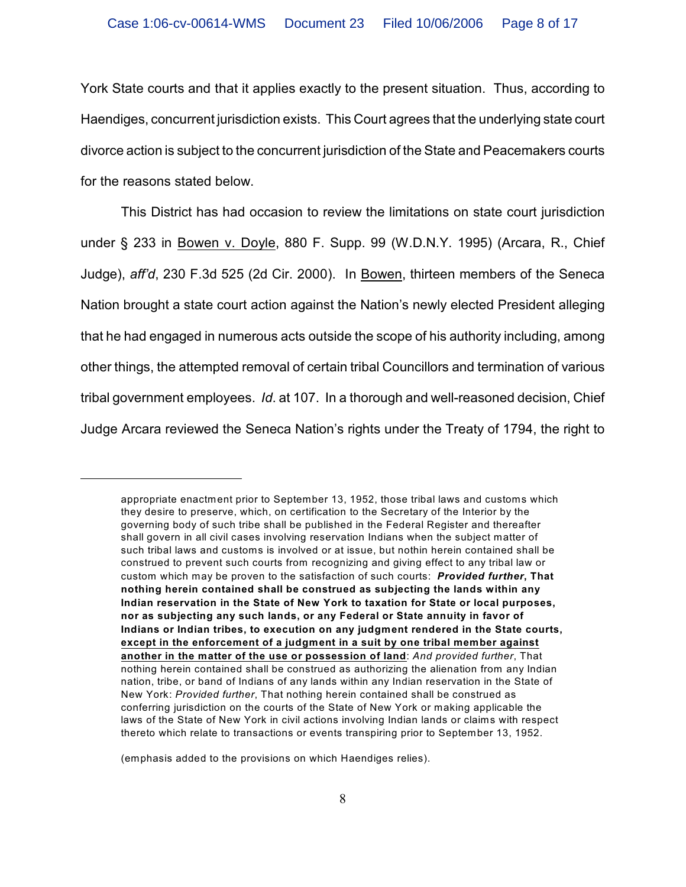York State courts and that it applies exactly to the present situation. Thus, according to Haendiges, concurrent jurisdiction exists. This Court agrees that the underlying state court divorce action is subject to the concurrent jurisdiction of the State and Peacemakers courts for the reasons stated below.

This District has had occasion to review the limitations on state court jurisdiction under § 233 in Bowen v. Doyle, 880 F. Supp. 99 (W.D.N.Y. 1995) (Arcara, R., Chief Judge), *aff'd*, 230 F.3d 525 (2d Cir. 2000). In Bowen, thirteen members of the Seneca Nation brought a state court action against the Nation's newly elected President alleging that he had engaged in numerous acts outside the scope of his authority including, among other things, the attempted removal of certain tribal Councillors and termination of various tribal government employees. *Id*. at 107. In a thorough and well-reasoned decision, Chief Judge Arcara reviewed the Seneca Nation's rights under the Treaty of 1794, the right to

appropriate enactment prior to September 13, 1952, those tribal laws and customs which they desire to preserve, which, on certification to the Secretary of the Interior by the governing body of such tribe shall be published in the Federal Register and thereafter shall govern in all civil cases involving reservation Indians when the subject matter of such tribal laws and customs is involved or at issue, but nothin herein contained shall be construed to prevent such courts from recognizing and giving effect to any tribal law or custom which may be proven to the satisfaction of such courts: *Provided further***, That nothing herein contained shall be construed as subjecting the lands within any Indian reservation in the State of New York to taxation for State or local purposes, nor as subjecting any such lands, or any Federal or State annuity in favor of Indians or Indian tribes, to execution on any judgment rendered in the State courts, except in the enforcement of a judgment in a suit by one tribal member against another in the matter of the use or possession of land**: *And provided further*, That nothing herein contained shall be construed as authorizing the alienation from any Indian nation, tribe, or band of Indians of any lands within any Indian reservation in the State of New York: *Provided further*, That nothing herein contained shall be construed as conferring jurisdiction on the courts of the State of New York or making applicable the laws of the State of New York in civil actions involving Indian lands or claims with respect thereto which relate to transactions or events transpiring prior to September 13, 1952.

<sup>(</sup>emphasis added to the provisions on which Haendiges relies).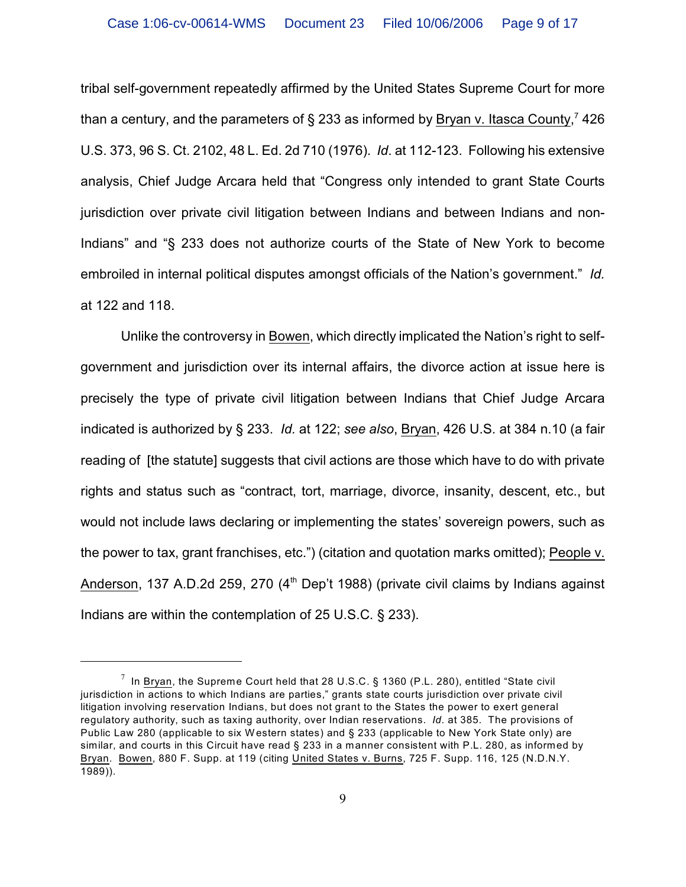tribal self-government repeatedly affirmed by the United States Supreme Court for more than a century, and the parameters of § 233 as informed by Bryan v. Itasca County,<sup>7</sup> 426 U.S. 373, 96 S. Ct. 2102, 48 L. Ed. 2d 710 (1976). *Id*. at 112-123. Following his extensive analysis, Chief Judge Arcara held that "Congress only intended to grant State Courts jurisdiction over private civil litigation between Indians and between Indians and non-Indians" and "§ 233 does not authorize courts of the State of New York to become embroiled in internal political disputes amongst officials of the Nation's government." *Id.* at 122 and 118.

Unlike the controversy in Bowen, which directly implicated the Nation's right to selfgovernment and jurisdiction over its internal affairs, the divorce action at issue here is precisely the type of private civil litigation between Indians that Chief Judge Arcara indicated is authorized by § 233. *Id.* at 122; *see also*, Bryan, 426 U.S. at 384 n.10 (a fair reading of [the statute] suggests that civil actions are those which have to do with private rights and status such as "contract, tort, marriage, divorce, insanity, descent, etc., but would not include laws declaring or implementing the states' sovereign powers, such as the power to tax, grant franchises, etc.") (citation and quotation marks omitted); People v. Anderson, 137 A.D.2d 259, 270  $(4<sup>th</sup>$  Dep't 1988) (private civil claims by Indians against Indians are within the contemplation of 25 U.S.C. § 233).

<sup>&</sup>lt;sup>7</sup> In Bryan, the Supreme Court held that 28 U.S.C. § 1360 (P.L. 280), entitled "State civil jurisdiction in actions to which Indians are parties," grants state courts jurisdiction over private civil litigation involving reservation Indians, but does not grant to the States the power to exert general regulatory authority, such as taxing authority, over Indian reservations. *Id.* at 385. The provisions of Public Law 280 (applicable to six W estern states) and § 233 (applicable to New York State only) are similar, and courts in this Circuit have read § 233 in a manner consistent with P.L. 280, as informed by Bryan. Bowen, 880 F. Supp. at 119 (citing United States v. Burns, 725 F. Supp. 116, 125 (N.D.N.Y. 1989)).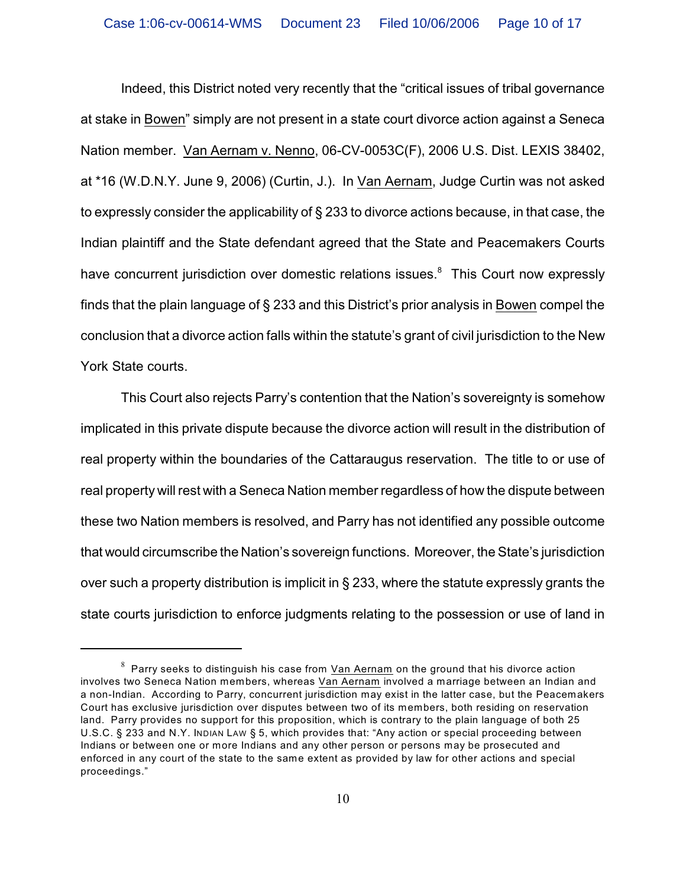Indeed, this District noted very recently that the "critical issues of tribal governance at stake in Bowen" simply are not present in a state court divorce action against a Seneca Nation member. Van Aernam v. Nenno, 06-CV-0053C(F), 2006 U.S. Dist. LEXIS 38402, at \*16 (W.D.N.Y. June 9, 2006) (Curtin, J.). In Van Aernam, Judge Curtin was not asked to expressly consider the applicability of § 233 to divorce actions because, in that case, the Indian plaintiff and the State defendant agreed that the State and Peacemakers Courts have concurrent jurisdiction over domestic relations issues.<sup>8</sup> This Court now expressly finds that the plain language of § 233 and this District's prior analysis in Bowen compel the conclusion that a divorce action falls within the statute's grant of civil jurisdiction to the New York State courts.

This Court also rejects Parry's contention that the Nation's sovereignty is somehow implicated in this private dispute because the divorce action will result in the distribution of real property within the boundaries of the Cattaraugus reservation. The title to or use of real property will rest with a Seneca Nation member regardless of how the dispute between these two Nation members is resolved, and Parry has not identified any possible outcome that would circumscribe the Nation's sovereign functions. Moreover, the State's jurisdiction over such a property distribution is implicit in § 233, where the statute expressly grants the state courts jurisdiction to enforce judgments relating to the possession or use of land in

 $^8\,$  Parry seeks to distinguish his case from <u>Van Aernam</u> on the ground that his divorce action involves two Seneca Nation members, whereas Van Aernam involved a marriage between an Indian and a non-Indian. According to Parry, concurrent jurisdiction may exist in the latter case, but the Peacemakers Court has exclusive jurisdiction over disputes between two of its members, both residing on reservation land. Parry provides no support for this proposition, which is contrary to the plain language of both 25 U.S.C. § 233 and N.Y. INDIAN LAW § 5, which provides that: "Any action or special proceeding between Indians or between one or more Indians and any other person or persons may be prosecuted and enforced in any court of the state to the same extent as provided by law for other actions and special proceedings."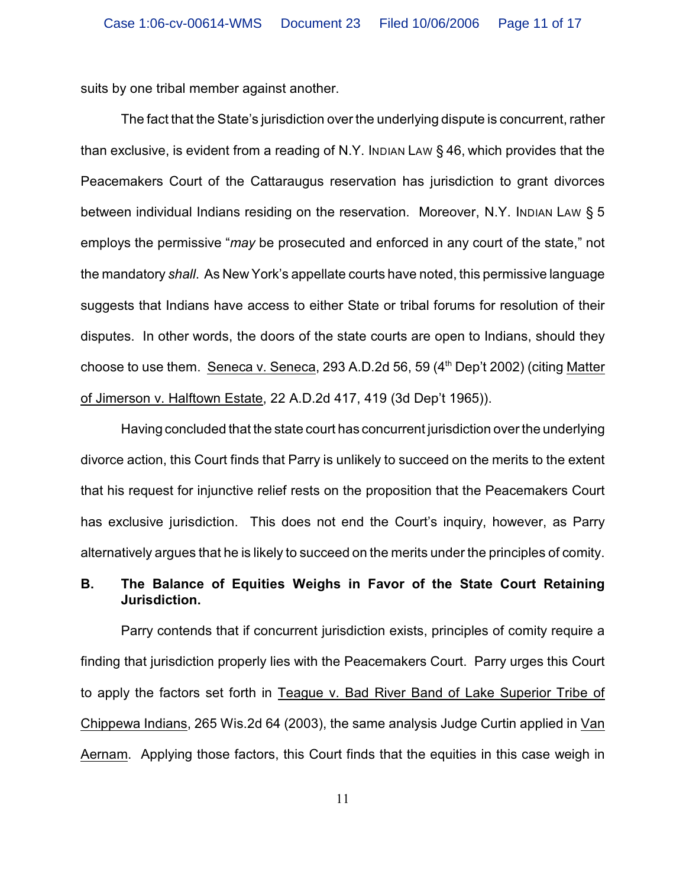suits by one tribal member against another.

The fact that the State's jurisdiction over the underlying dispute is concurrent, rather than exclusive, is evident from a reading of N.Y. INDIAN LAW § 46, which provides that the Peacemakers Court of the Cattaraugus reservation has jurisdiction to grant divorces between individual Indians residing on the reservation. Moreover, N.Y. INDIAN LAW § 5 employs the permissive "*may* be prosecuted and enforced in any court of the state," not the mandatory *shall*. As New York's appellate courts have noted, this permissive language suggests that Indians have access to either State or tribal forums for resolution of their disputes. In other words, the doors of the state courts are open to Indians, should they choose to use them. Seneca v. Seneca, 293 A.D.2d 56, 59  $(4<sup>th</sup>$  Dep't 2002) (citing Matter of Jimerson v. Halftown Estate, 22 A.D.2d 417, 419 (3d Dep't 1965)).

Having concluded that the state court has concurrent jurisdiction over the underlying divorce action, this Court finds that Parry is unlikely to succeed on the merits to the extent that his request for injunctive relief rests on the proposition that the Peacemakers Court has exclusive jurisdiction. This does not end the Court's inquiry, however, as Parry alternatively argues that he is likely to succeed on the merits under the principles of comity.

### **B. The Balance of Equities Weighs in Favor of the State Court Retaining Jurisdiction.**

Parry contends that if concurrent jurisdiction exists, principles of comity require a finding that jurisdiction properly lies with the Peacemakers Court. Parry urges this Court to apply the factors set forth in Teague v. Bad River Band of Lake Superior Tribe of Chippewa Indians, 265 Wis.2d 64 (2003), the same analysis Judge Curtin applied in Van Aernam. Applying those factors, this Court finds that the equities in this case weigh in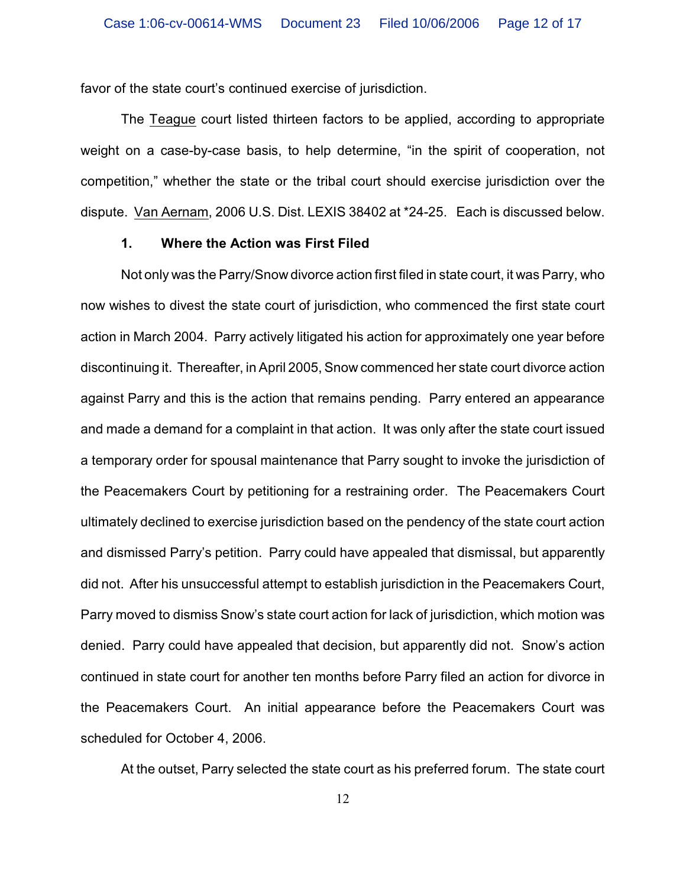favor of the state court's continued exercise of jurisdiction.

The Teague court listed thirteen factors to be applied, according to appropriate weight on a case-by-case basis, to help determine, "in the spirit of cooperation, not competition," whether the state or the tribal court should exercise jurisdiction over the dispute. Van Aernam, 2006 U.S. Dist. LEXIS 38402 at \*24-25. Each is discussed below.

#### **1. Where the Action was First Filed**

Not only was the Parry/Snow divorce action first filed in state court, it was Parry, who now wishes to divest the state court of jurisdiction, who commenced the first state court action in March 2004. Parry actively litigated his action for approximately one year before discontinuing it. Thereafter, in April 2005, Snow commenced her state court divorce action against Parry and this is the action that remains pending. Parry entered an appearance and made a demand for a complaint in that action. It was only after the state court issued a temporary order for spousal maintenance that Parry sought to invoke the jurisdiction of the Peacemakers Court by petitioning for a restraining order. The Peacemakers Court ultimately declined to exercise jurisdiction based on the pendency of the state court action and dismissed Parry's petition. Parry could have appealed that dismissal, but apparently did not. After his unsuccessful attempt to establish jurisdiction in the Peacemakers Court, Parry moved to dismiss Snow's state court action for lack of jurisdiction, which motion was denied. Parry could have appealed that decision, but apparently did not. Snow's action continued in state court for another ten months before Parry filed an action for divorce in the Peacemakers Court. An initial appearance before the Peacemakers Court was scheduled for October 4, 2006.

At the outset, Parry selected the state court as his preferred forum. The state court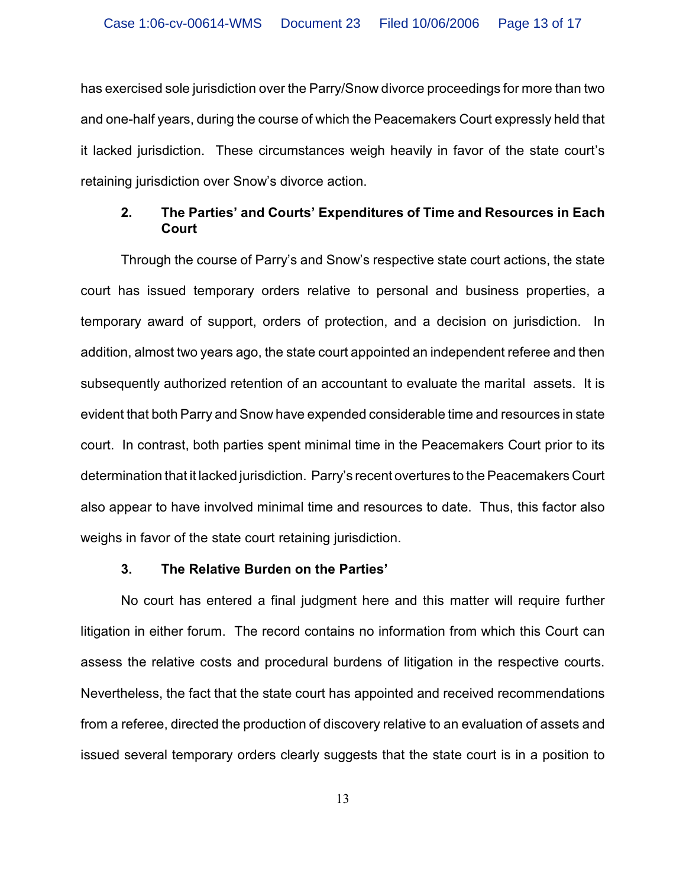has exercised sole jurisdiction over the Parry/Snow divorce proceedings for more than two and one-half years, during the course of which the Peacemakers Court expressly held that it lacked jurisdiction. These circumstances weigh heavily in favor of the state court's retaining jurisdiction over Snow's divorce action.

### **2. The Parties' and Courts' Expenditures of Time and Resources in Each Court**

Through the course of Parry's and Snow's respective state court actions, the state court has issued temporary orders relative to personal and business properties, a temporary award of support, orders of protection, and a decision on jurisdiction. In addition, almost two years ago, the state court appointed an independent referee and then subsequently authorized retention of an accountant to evaluate the marital assets. It is evident that both Parry and Snow have expended considerable time and resources in state court. In contrast, both parties spent minimal time in the Peacemakers Court prior to its determination that it lacked jurisdiction. Parry's recent overtures to the Peacemakers Court also appear to have involved minimal time and resources to date. Thus, this factor also weighs in favor of the state court retaining jurisdiction.

#### **3. The Relative Burden on the Parties'**

No court has entered a final judgment here and this matter will require further litigation in either forum. The record contains no information from which this Court can assess the relative costs and procedural burdens of litigation in the respective courts. Nevertheless, the fact that the state court has appointed and received recommendations from a referee, directed the production of discovery relative to an evaluation of assets and issued several temporary orders clearly suggests that the state court is in a position to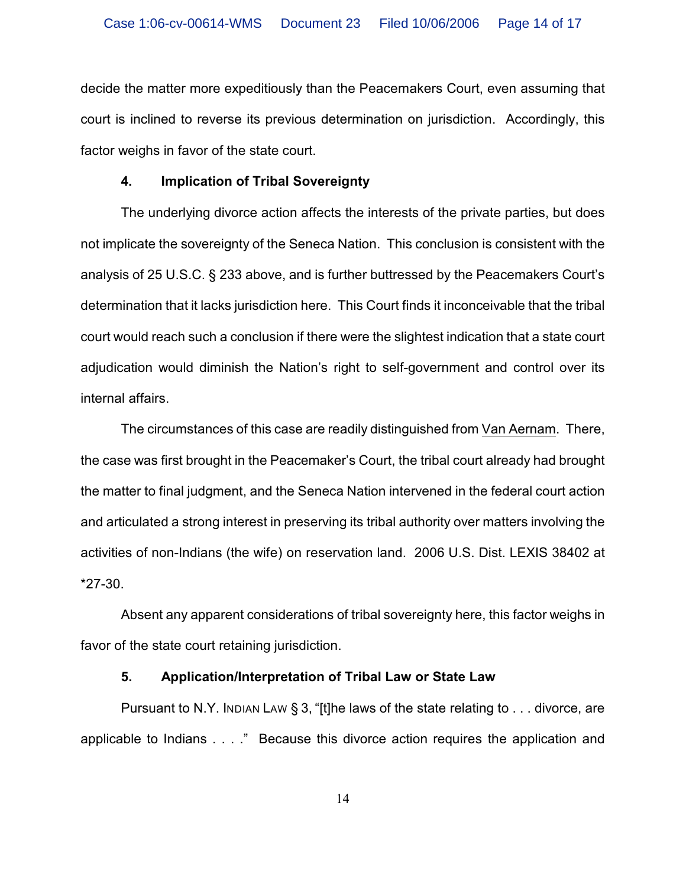decide the matter more expeditiously than the Peacemakers Court, even assuming that court is inclined to reverse its previous determination on jurisdiction. Accordingly, this factor weighs in favor of the state court.

### **4. Implication of Tribal Sovereignty**

The underlying divorce action affects the interests of the private parties, but does not implicate the sovereignty of the Seneca Nation. This conclusion is consistent with the analysis of 25 U.S.C. § 233 above, and is further buttressed by the Peacemakers Court's determination that it lacks jurisdiction here. This Court finds it inconceivable that the tribal court would reach such a conclusion if there were the slightest indication that a state court adjudication would diminish the Nation's right to self-government and control over its internal affairs.

The circumstances of this case are readily distinguished from Van Aernam. There, the case was first brought in the Peacemaker's Court, the tribal court already had brought the matter to final judgment, and the Seneca Nation intervened in the federal court action and articulated a strong interest in preserving its tribal authority over matters involving the activities of non-Indians (the wife) on reservation land. 2006 U.S. Dist. LEXIS 38402 at \*27-30.

Absent any apparent considerations of tribal sovereignty here, this factor weighs in favor of the state court retaining jurisdiction.

### **5. Application/Interpretation of Tribal Law or State Law**

Pursuant to N.Y. Inplan Law § 3, "[t]he laws of the state relating to  $\dots$  divorce, are applicable to Indians . . . ." Because this divorce action requires the application and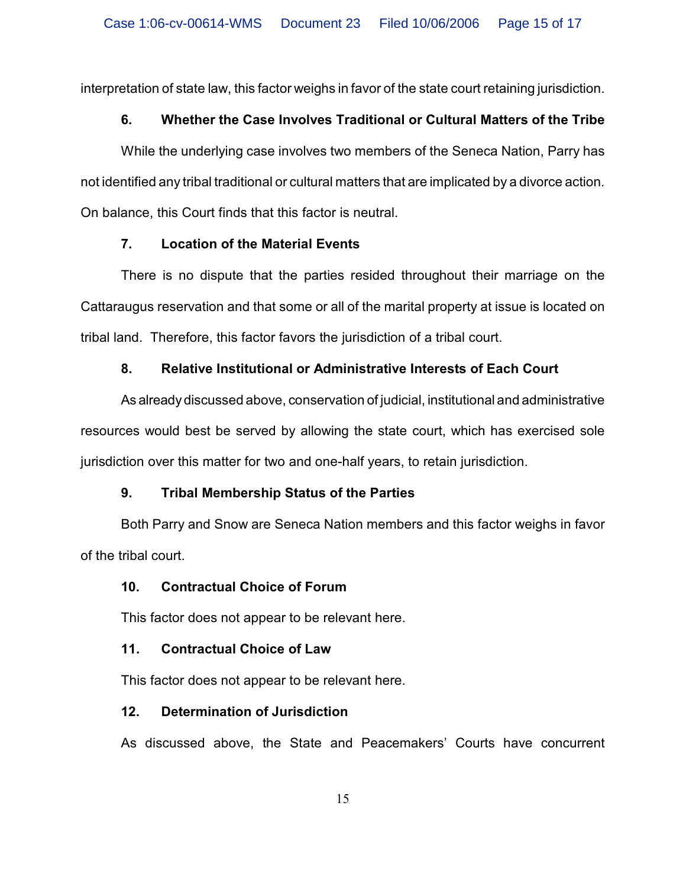interpretation of state law, this factor weighs in favor of the state court retaining jurisdiction.

# **6. Whether the Case Involves Traditional or Cultural Matters of the Tribe**

While the underlying case involves two members of the Seneca Nation, Parry has not identified any tribal traditional or cultural matters that are implicated by a divorce action. On balance, this Court finds that this factor is neutral.

## **7. Location of the Material Events**

There is no dispute that the parties resided throughout their marriage on the Cattaraugus reservation and that some or all of the marital property at issue is located on tribal land. Therefore, this factor favors the jurisdiction of a tribal court.

# **8. Relative Institutional or Administrative Interests of Each Court**

As already discussed above, conservation of judicial, institutional and administrative resources would best be served by allowing the state court, which has exercised sole jurisdiction over this matter for two and one-half years, to retain jurisdiction.

# **9. Tribal Membership Status of the Parties**

Both Parry and Snow are Seneca Nation members and this factor weighs in favor of the tribal court.

# **10. Contractual Choice of Forum**

This factor does not appear to be relevant here.

# **11. Contractual Choice of Law**

This factor does not appear to be relevant here.

# **12. Determination of Jurisdiction**

As discussed above, the State and Peacemakers' Courts have concurrent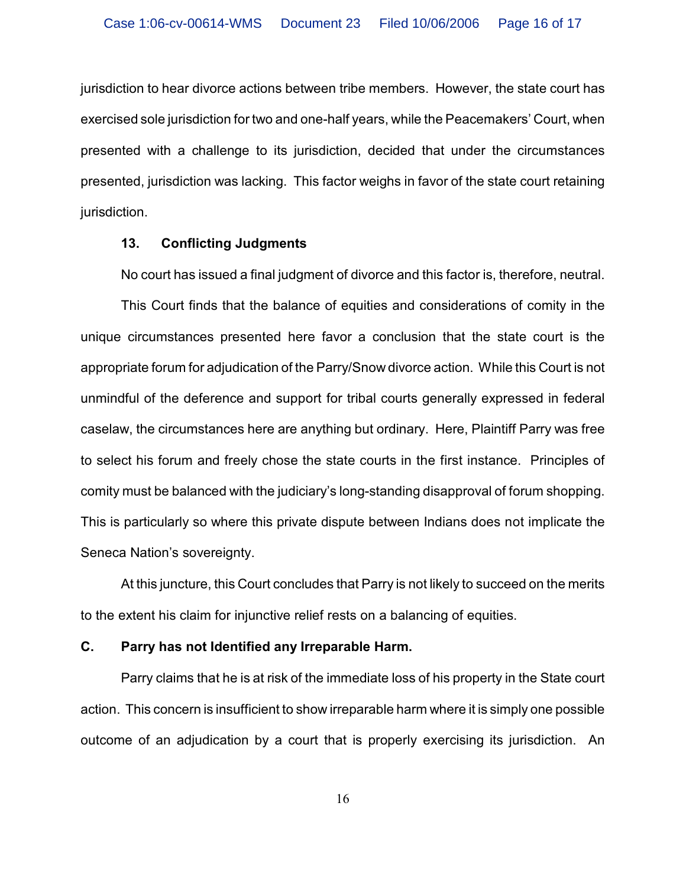jurisdiction to hear divorce actions between tribe members. However, the state court has exercised sole jurisdiction for two and one-half years, while the Peacemakers' Court, when presented with a challenge to its jurisdiction, decided that under the circumstances presented, jurisdiction was lacking. This factor weighs in favor of the state court retaining jurisdiction.

#### **13. Conflicting Judgments**

No court has issued a final judgment of divorce and this factor is, therefore, neutral.

This Court finds that the balance of equities and considerations of comity in the unique circumstances presented here favor a conclusion that the state court is the appropriate forum for adjudication of the Parry/Snow divorce action. While this Court is not unmindful of the deference and support for tribal courts generally expressed in federal caselaw, the circumstances here are anything but ordinary. Here, Plaintiff Parry was free to select his forum and freely chose the state courts in the first instance. Principles of comity must be balanced with the judiciary's long-standing disapproval of forum shopping. This is particularly so where this private dispute between Indians does not implicate the Seneca Nation's sovereignty.

At this juncture, this Court concludes that Parry is not likely to succeed on the merits to the extent his claim for injunctive relief rests on a balancing of equities.

### **C. Parry has not Identified any Irreparable Harm.**

Parry claims that he is at risk of the immediate loss of his property in the State court action. This concern is insufficient to show irreparable harm where it is simply one possible outcome of an adjudication by a court that is properly exercising its jurisdiction. An